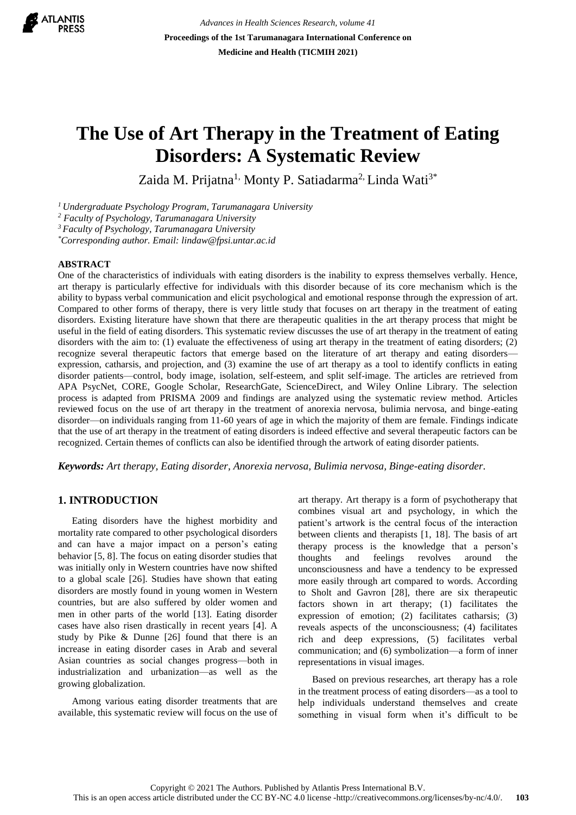

*Advances in Health Sciences Research, volume 41* **Proceedings of the 1st Tarumanagara International Conference on Medicine and Health (TICMIH 2021)**

# **The Use of Art Therapy in the Treatment of Eating Disorders: A Systematic Review**

Zaida M. Prijatna<sup>1,</sup> Monty P. Satiadarma<sup>2,</sup> Linda Wati<sup>3\*</sup>

*<sup>1</sup>Undergraduate Psychology Program, Tarumanagara University*

*<sup>2</sup> Faculty of Psychology, Tarumanagara University*

*<sup>3</sup>Faculty of Psychology, Tarumanagara University*

*\*Corresponding author. Email: lindaw@fpsi.untar.ac.id*

#### **ABSTRACT**

One of the characteristics of individuals with eating disorders is the inability to express themselves verbally. Hence, art therapy is particularly effective for individuals with this disorder because of its core mechanism which is the ability to bypass verbal communication and elicit psychological and emotional response through the expression of art. Compared to other forms of therapy, there is very little study that focuses on art therapy in the treatment of eating disorders. Existing literature have shown that there are therapeutic qualities in the art therapy process that might be useful in the field of eating disorders. This systematic review discusses the use of art therapy in the treatment of eating disorders with the aim to: (1) evaluate the effectiveness of using art therapy in the treatment of eating disorders; (2) recognize several therapeutic factors that emerge based on the literature of art therapy and eating disorders expression, catharsis, and projection, and (3) examine the use of art therapy as a tool to identify conflicts in eating disorder patients—control, body image, isolation, self-esteem, and split self-image. The articles are retrieved from APA PsycNet, CORE, Google Scholar, ResearchGate, ScienceDirect, and Wiley Online Library. The selection process is adapted from PRISMA 2009 and findings are analyzed using the systematic review method. Articles reviewed focus on the use of art therapy in the treatment of anorexia nervosa, bulimia nervosa, and binge-eating disorder—on individuals ranging from 11-60 years of age in which the majority of them are female. Findings indicate that the use of art therapy in the treatment of eating disorders is indeed effective and several therapeutic factors can be recognized. Certain themes of conflicts can also be identified through the artwork of eating disorder patients.

*Keywords: Art therapy, Eating disorder, Anorexia nervosa, Bulimia nervosa, Binge-eating disorder.*

## **1. INTRODUCTION**

Eating disorders have the highest morbidity and mortality rate compared to other psychological disorders and can have a major impact on a person's eating behavior [5, 8]. The focus on eating disorder studies that was initially only in Western countries have now shifted to a global scale [26]. Studies have shown that eating disorders are mostly found in young women in Western countries, but are also suffered by older women and men in other parts of the world [13]. Eating disorder cases have also risen drastically in recent years [4]. A study by Pike & Dunne [26] found that there is an increase in eating disorder cases in Arab and several Asian countries as social changes progress—both in industrialization and urbanization—as well as the growing globalization.

Among various eating disorder treatments that are available, this systematic review will focus on the use of art therapy. Art therapy is a form of psychotherapy that combines visual art and psychology, in which the patient's artwork is the central focus of the interaction between clients and therapists [1, 18]. The basis of art therapy process is the knowledge that a person's thoughts and feelings revolves around the unconsciousness and have a tendency to be expressed more easily through art compared to words. According to Sholt and Gavron [28], there are six therapeutic factors shown in art therapy; (1) facilitates the expression of emotion; (2) facilitates catharsis; (3) reveals aspects of the unconsciousness; (4) facilitates rich and deep expressions, (5) facilitates verbal communication; and (6) symbolization—a form of inner representations in visual images.

Based on previous researches, art therapy has a role in the treatment process of eating disorders—as a tool to help individuals understand themselves and create something in visual form when it's difficult to be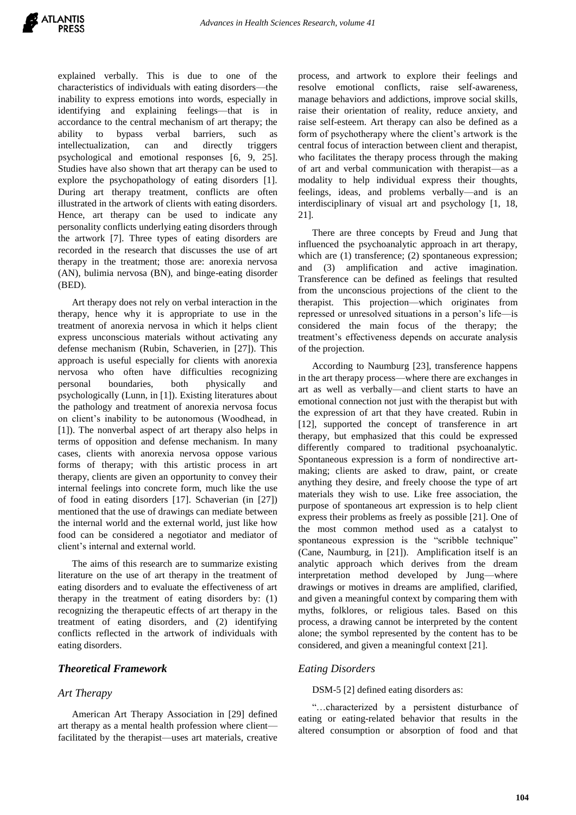explained verbally. This is due to one of the characteristics of individuals with eating disorders—the inability to express emotions into words, especially in identifying and explaining feelings—that is in accordance to the central mechanism of art therapy; the ability to bypass verbal barriers, such as intellectualization, can and directly triggers psychological and emotional responses [6, 9, 25]. Studies have also shown that art therapy can be used to explore the psychopathology of eating disorders [1]. During art therapy treatment, conflicts are often illustrated in the artwork of clients with eating disorders. Hence, art therapy can be used to indicate any personality conflicts underlying eating disorders through the artwork [7]. Three types of eating disorders are recorded in the research that discusses the use of art therapy in the treatment; those are: anorexia nervosa (AN), bulimia nervosa (BN), and binge-eating disorder (BED).

Art therapy does not rely on verbal interaction in the therapy, hence why it is appropriate to use in the treatment of anorexia nervosa in which it helps client express unconscious materials without activating any defense mechanism (Rubin, Schaverien, in [27]). This approach is useful especially for clients with anorexia nervosa who often have difficulties recognizing personal boundaries, both physically and psychologically (Lunn, in [1]). Existing literatures about the pathology and treatment of anorexia nervosa focus on client's inability to be autonomous (Woodhead, in [1]). The nonverbal aspect of art therapy also helps in terms of opposition and defense mechanism. In many cases, clients with anorexia nervosa oppose various forms of therapy; with this artistic process in art therapy, clients are given an opportunity to convey their internal feelings into concrete form, much like the use of food in eating disorders [17]. Schaverian (in [27]) mentioned that the use of drawings can mediate between the internal world and the external world, just like how food can be considered a negotiator and mediator of client's internal and external world.

The aims of this research are to summarize existing literature on the use of art therapy in the treatment of eating disorders and to evaluate the effectiveness of art therapy in the treatment of eating disorders by: (1) recognizing the therapeutic effects of art therapy in the treatment of eating disorders, and (2) identifying conflicts reflected in the artwork of individuals with eating disorders.

## *Theoretical Framework*

## *Art Therapy*

American Art Therapy Association in [29] defined art therapy as a mental health profession where client facilitated by the therapist—uses art materials, creative process, and artwork to explore their feelings and resolve emotional conflicts, raise self-awareness, manage behaviors and addictions, improve social skills, raise their orientation of reality, reduce anxiety, and raise self-esteem. Art therapy can also be defined as a form of psychotherapy where the client's artwork is the central focus of interaction between client and therapist, who facilitates the therapy process through the making of art and verbal communication with therapist—as a modality to help individual express their thoughts, feelings, ideas, and problems verbally—and is an interdisciplinary of visual art and psychology [1, 18, 21].

There are three concepts by Freud and Jung that influenced the psychoanalytic approach in art therapy, which are (1) transference; (2) spontaneous expression; and (3) amplification and active imagination. Transference can be defined as feelings that resulted from the unconscious projections of the client to the therapist. This projection—which originates from repressed or unresolved situations in a person's life—is considered the main focus of the therapy; the treatment's effectiveness depends on accurate analysis of the projection.

According to Naumburg [23], transference happens in the art therapy process—where there are exchanges in art as well as verbally—and client starts to have an emotional connection not just with the therapist but with the expression of art that they have created. Rubin in [12], supported the concept of transference in art therapy, but emphasized that this could be expressed differently compared to traditional psychoanalytic. Spontaneous expression is a form of nondirective artmaking; clients are asked to draw, paint, or create anything they desire, and freely choose the type of art materials they wish to use. Like free association, the purpose of spontaneous art expression is to help client express their problems as freely as possible [21]. One of the most common method used as a catalyst to spontaneous expression is the "scribble technique" (Cane, Naumburg, in [21]). Amplification itself is an analytic approach which derives from the dream interpretation method developed by Jung—where drawings or motives in dreams are amplified, clarified, and given a meaningful context by comparing them with myths, folklores, or religious tales. Based on this process, a drawing cannot be interpreted by the content alone; the symbol represented by the content has to be considered, and given a meaningful context [21].

#### *Eating Disorders*

#### DSM-5 [2] defined eating disorders as:

"…characterized by a persistent disturbance of eating or eating-related behavior that results in the altered consumption or absorption of food and that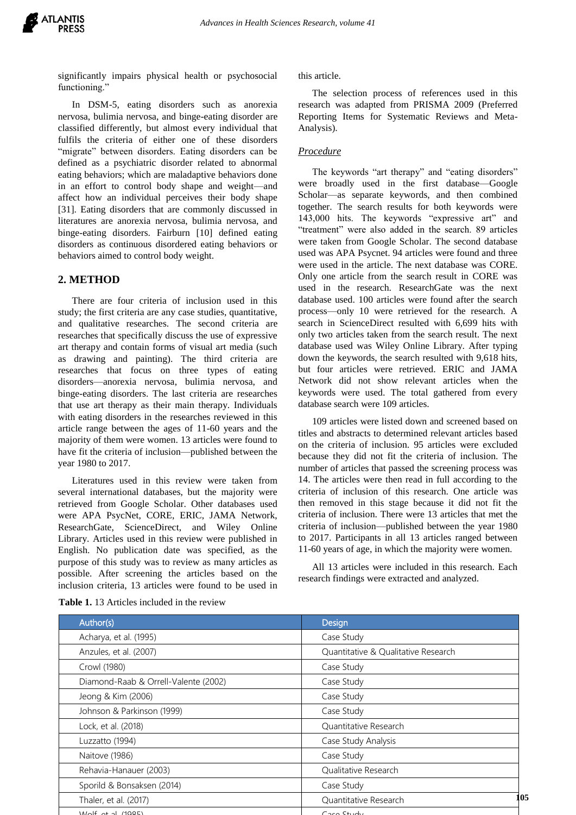significantly impairs physical health or psychosocial functioning."

In DSM-5, eating disorders such as anorexia nervosa, bulimia nervosa, and binge-eating disorder are classified differently, but almost every individual that fulfils the criteria of either one of these disorders "migrate" between disorders. Eating disorders can be defined as a psychiatric disorder related to abnormal eating behaviors; which are maladaptive behaviors done in an effort to control body shape and weight—and affect how an individual perceives their body shape [31]. Eating disorders that are commonly discussed in literatures are anorexia nervosa, bulimia nervosa, and binge-eating disorders. Fairburn [10] defined eating disorders as continuous disordered eating behaviors or behaviors aimed to control body weight.

# **2. METHOD**

There are four criteria of inclusion used in this study; the first criteria are any case studies, quantitative, and qualitative researches. The second criteria are researches that specifically discuss the use of expressive art therapy and contain forms of visual art media (such as drawing and painting). The third criteria are researches that focus on three types of eating disorders—anorexia nervosa, bulimia nervosa, and binge-eating disorders. The last criteria are researches that use art therapy as their main therapy. Individuals with eating disorders in the researches reviewed in this article range between the ages of 11-60 years and the majority of them were women. 13 articles were found to have fit the criteria of inclusion—published between the year 1980 to 2017.

Literatures used in this review were taken from several international databases, but the majority were retrieved from Google Scholar. Other databases used were APA PsycNet, CORE, ERIC, JAMA Network, ResearchGate, ScienceDirect, and Wiley Online Library. Articles used in this review were published in English. No publication date was specified, as the purpose of this study was to review as many articles as possible. After screening the articles based on the inclusion criteria, 13 articles were found to be used in this article.

The selection process of references used in this research was adapted from PRISMA 2009 (Preferred Reporting Items for Systematic Reviews and Meta-Analysis).

#### *Procedure*

The keywords "art therapy" and "eating disorders" were broadly used in the first database—Google Scholar—as separate keywords, and then combined together. The search results for both keywords were 143,000 hits. The keywords "expressive art" and "treatment" were also added in the search. 89 articles were taken from Google Scholar. The second database used was APA Psycnet. 94 articles were found and three were used in the article. The next database was CORE. Only one article from the search result in CORE was used in the research. ResearchGate was the next database used. 100 articles were found after the search process—only 10 were retrieved for the research. A search in ScienceDirect resulted with 6,699 hits with only two articles taken from the search result. The next database used was Wiley Online Library. After typing down the keywords, the search resulted with 9,618 hits, but four articles were retrieved. ERIC and JAMA Network did not show relevant articles when the keywords were used. The total gathered from every database search were 109 articles.

109 articles were listed down and screened based on titles and abstracts to determined relevant articles based on the criteria of inclusion. 95 articles were excluded because they did not fit the criteria of inclusion. The number of articles that passed the screening process was 14. The articles were then read in full according to the criteria of inclusion of this research. One article was then removed in this stage because it did not fit the criteria of inclusion. There were 13 articles that met the criteria of inclusion—published between the year 1980 to 2017. Participants in all 13 articles ranged between 11-60 years of age, in which the majority were women.

All 13 articles were included in this research. Each research findings were extracted and analyzed.

| Author(s)                            | Design                              |     |
|--------------------------------------|-------------------------------------|-----|
| Acharya, et al. (1995)               | Case Study                          |     |
| Anzules, et al. (2007)               | Quantitative & Qualitative Research |     |
| Crowl (1980)                         | Case Study                          |     |
| Diamond-Raab & Orrell-Valente (2002) | Case Study                          |     |
| Jeong & Kim (2006)                   | Case Study                          |     |
| Johnson & Parkinson (1999)           | Case Study                          |     |
| Lock, et al. (2018)                  | <b>Ouantitative Research</b>        |     |
| Luzzatto (1994)                      | Case Study Analysis                 |     |
| Naitove (1986)                       | Case Study                          |     |
| Rehavia-Hanauer (2003)               | Qualitative Research                |     |
| Sporild & Bonsaksen (2014)           | Case Study                          |     |
| Thaler, et al. (2017)                | Quantitative Research               | 105 |
|                                      |                                     |     |

Wolf, et al. (1985) Case Study

**Table 1.** 13 Articles included in the review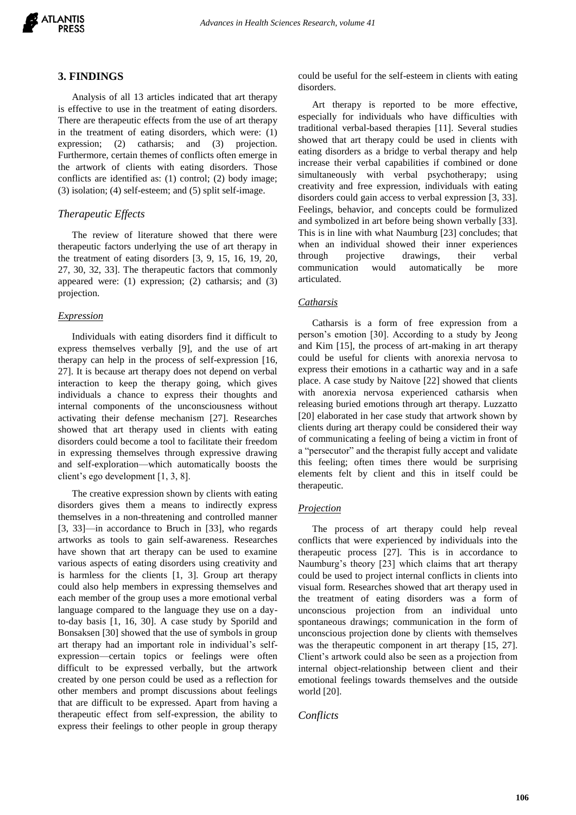

#### **3. FINDINGS**

Analysis of all 13 articles indicated that art therapy is effective to use in the treatment of eating disorders. There are therapeutic effects from the use of art therapy in the treatment of eating disorders, which were: (1) expression; (2) catharsis; and (3) projection. Furthermore, certain themes of conflicts often emerge in the artwork of clients with eating disorders. Those conflicts are identified as: (1) control; (2) body image; (3) isolation; (4) self-esteem; and (5) split self-image.

## *Therapeutic Effects*

The review of literature showed that there were therapeutic factors underlying the use of art therapy in the treatment of eating disorders [3, 9, 15, 16, 19, 20, 27, 30, 32, 33]. The therapeutic factors that commonly appeared were: (1) expression; (2) catharsis; and (3) projection.

#### *Expression*

Individuals with eating disorders find it difficult to express themselves verbally [9], and the use of art therapy can help in the process of self-expression [16, 27]. It is because art therapy does not depend on verbal interaction to keep the therapy going, which gives individuals a chance to express their thoughts and internal components of the unconsciousness without activating their defense mechanism [27]. Researches showed that art therapy used in clients with eating disorders could become a tool to facilitate their freedom in expressing themselves through expressive drawing and self-exploration—which automatically boosts the client's ego development [1, 3, 8].

The creative expression shown by clients with eating disorders gives them a means to indirectly express themselves in a non-threatening and controlled manner [3, 33]—in accordance to Bruch in [33], who regards artworks as tools to gain self-awareness. Researches have shown that art therapy can be used to examine various aspects of eating disorders using creativity and is harmless for the clients [1, 3]. Group art therapy could also help members in expressing themselves and each member of the group uses a more emotional verbal language compared to the language they use on a dayto-day basis [1, 16, 30]. A case study by Sporild and Bonsaksen [30] showed that the use of symbols in group art therapy had an important role in individual's selfexpression—certain topics or feelings were often difficult to be expressed verbally, but the artwork created by one person could be used as a reflection for other members and prompt discussions about feelings that are difficult to be expressed. Apart from having a therapeutic effect from self-expression, the ability to express their feelings to other people in group therapy

could be useful for the self-esteem in clients with eating disorders.

Art therapy is reported to be more effective, especially for individuals who have difficulties with traditional verbal-based therapies [11]. Several studies showed that art therapy could be used in clients with eating disorders as a bridge to verbal therapy and help increase their verbal capabilities if combined or done simultaneously with verbal psychotherapy; using creativity and free expression, individuals with eating disorders could gain access to verbal expression [3, 33]. Feelings, behavior, and concepts could be formulized and symbolized in art before being shown verbally [33]. This is in line with what Naumburg [23] concludes; that when an individual showed their inner experiences through projective drawings, their verbal communication would automatically be more articulated.

## *Catharsis*

Catharsis is a form of free expression from a person's emotion [30]. According to a study by Jeong and Kim [15], the process of art-making in art therapy could be useful for clients with anorexia nervosa to express their emotions in a cathartic way and in a safe place. A case study by Naitove [22] showed that clients with anorexia nervosa experienced catharsis when releasing buried emotions through art therapy. Luzzatto [20] elaborated in her case study that artwork shown by clients during art therapy could be considered their way of communicating a feeling of being a victim in front of a "persecutor" and the therapist fully accept and validate this feeling; often times there would be surprising elements felt by client and this in itself could be therapeutic.

#### *Projection*

The process of art therapy could help reveal conflicts that were experienced by individuals into the therapeutic process [27]. This is in accordance to Naumburg's theory [23] which claims that art therapy could be used to project internal conflicts in clients into visual form. Researches showed that art therapy used in the treatment of eating disorders was a form of unconscious projection from an individual unto spontaneous drawings; communication in the form of unconscious projection done by clients with themselves was the therapeutic component in art therapy [15, 27]. Client's artwork could also be seen as a projection from internal object-relationship between client and their emotional feelings towards themselves and the outside world [20].

## *Conflicts*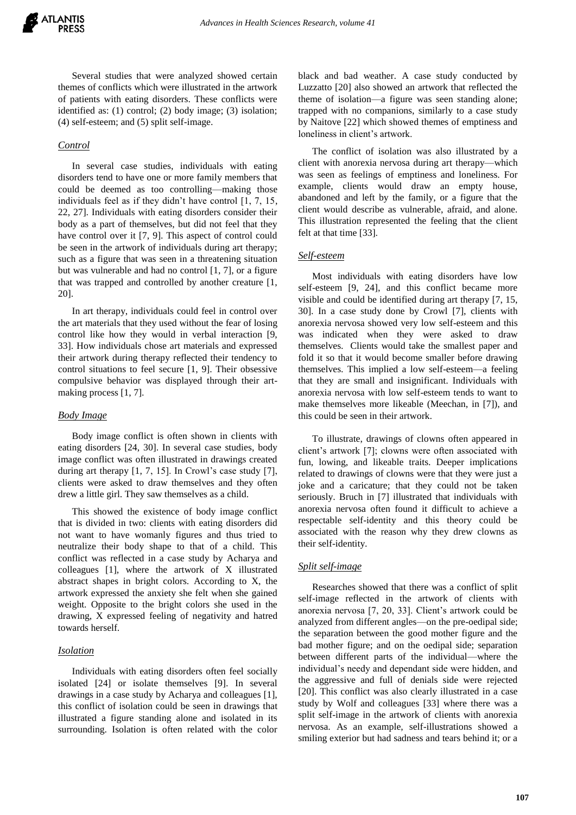Several studies that were analyzed showed certain themes of conflicts which were illustrated in the artwork of patients with eating disorders. These conflicts were identified as: (1) control; (2) body image; (3) isolation; (4) self-esteem; and (5) split self-image.

## *Control*

In several case studies, individuals with eating disorders tend to have one or more family members that could be deemed as too controlling—making those individuals feel as if they didn't have control [1, 7, 15, 22, 27]. Individuals with eating disorders consider their body as a part of themselves, but did not feel that they have control over it [7, 9]. This aspect of control could be seen in the artwork of individuals during art therapy; such as a figure that was seen in a threatening situation but was vulnerable and had no control [1, 7], or a figure that was trapped and controlled by another creature [1, 20].

In art therapy, individuals could feel in control over the art materials that they used without the fear of losing control like how they would in verbal interaction [9, 33]. How individuals chose art materials and expressed their artwork during therapy reflected their tendency to control situations to feel secure [1, 9]. Their obsessive compulsive behavior was displayed through their artmaking process [1, 7].

#### *Body Image*

Body image conflict is often shown in clients with eating disorders [24, 30]. In several case studies, body image conflict was often illustrated in drawings created during art therapy [1, 7, 15]. In Crowl's case study [7], clients were asked to draw themselves and they often drew a little girl. They saw themselves as a child.

This showed the existence of body image conflict that is divided in two: clients with eating disorders did not want to have womanly figures and thus tried to neutralize their body shape to that of a child. This conflict was reflected in a case study by Acharya and colleagues [1], where the artwork of X illustrated abstract shapes in bright colors. According to X, the artwork expressed the anxiety she felt when she gained weight. Opposite to the bright colors she used in the drawing, X expressed feeling of negativity and hatred towards herself.

#### *Isolation*

Individuals with eating disorders often feel socially isolated [24] or isolate themselves [9]. In several drawings in a case study by Acharya and colleagues [1], this conflict of isolation could be seen in drawings that illustrated a figure standing alone and isolated in its surrounding. Isolation is often related with the color black and bad weather. A case study conducted by Luzzatto [20] also showed an artwork that reflected the theme of isolation—a figure was seen standing alone; trapped with no companions, similarly to a case study by Naitove [22] which showed themes of emptiness and loneliness in client's artwork.

The conflict of isolation was also illustrated by a client with anorexia nervosa during art therapy—which was seen as feelings of emptiness and loneliness. For example, clients would draw an empty house, abandoned and left by the family, or a figure that the client would describe as vulnerable, afraid, and alone. This illustration represented the feeling that the client felt at that time [33].

#### *Self-esteem*

Most individuals with eating disorders have low self-esteem [9, 24], and this conflict became more visible and could be identified during art therapy [7, 15, 30]. In a case study done by Crowl [7], clients with anorexia nervosa showed very low self-esteem and this was indicated when they were asked to draw themselves. Clients would take the smallest paper and fold it so that it would become smaller before drawing themselves. This implied a low self-esteem—a feeling that they are small and insignificant. Individuals with anorexia nervosa with low self-esteem tends to want to make themselves more likeable (Meechan, in [7]), and this could be seen in their artwork.

To illustrate, drawings of clowns often appeared in client's artwork [7]; clowns were often associated with fun, lowing, and likeable traits. Deeper implications related to drawings of clowns were that they were just a joke and a caricature; that they could not be taken seriously. Bruch in [7] illustrated that individuals with anorexia nervosa often found it difficult to achieve a respectable self-identity and this theory could be associated with the reason why they drew clowns as their self-identity.

## *Split self-image*

Researches showed that there was a conflict of split self-image reflected in the artwork of clients with anorexia nervosa [7, 20, 33]. Client's artwork could be analyzed from different angles—on the pre-oedipal side; the separation between the good mother figure and the bad mother figure; and on the oedipal side; separation between different parts of the individual—where the individual's needy and dependant side were hidden, and the aggressive and full of denials side were rejected [20]. This conflict was also clearly illustrated in a case study by Wolf and colleagues [33] where there was a split self-image in the artwork of clients with anorexia nervosa. As an example, self-illustrations showed a smiling exterior but had sadness and tears behind it; or a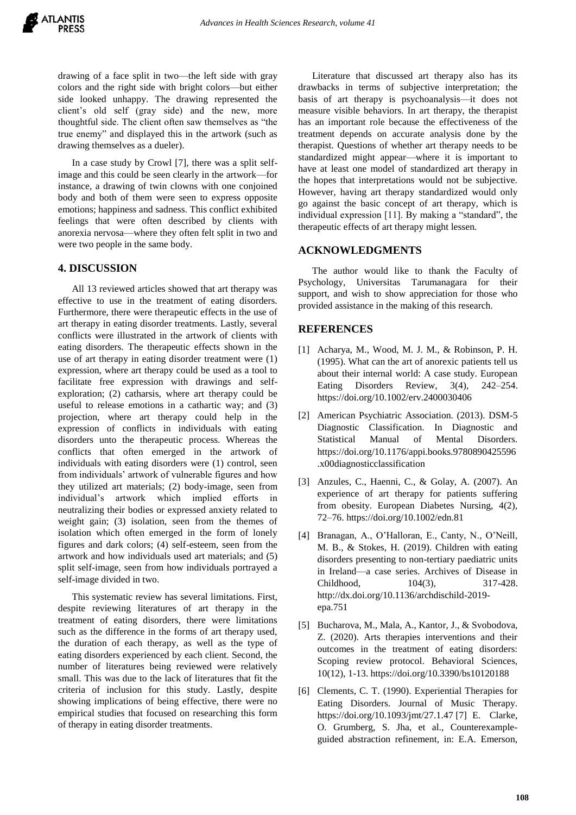drawing of a face split in two—the left side with gray colors and the right side with bright colors—but either side looked unhappy. The drawing represented the client's old self (gray side) and the new, more thoughtful side. The client often saw themselves as "the true enemy" and displayed this in the artwork (such as drawing themselves as a dueler).

In a case study by Crowl [7], there was a split selfimage and this could be seen clearly in the artwork—for instance, a drawing of twin clowns with one conjoined body and both of them were seen to express opposite emotions; happiness and sadness. This conflict exhibited feelings that were often described by clients with anorexia nervosa—where they often felt split in two and were two people in the same body.

# **4. DISCUSSION**

All 13 reviewed articles showed that art therapy was effective to use in the treatment of eating disorders. Furthermore, there were therapeutic effects in the use of art therapy in eating disorder treatments. Lastly, several conflicts were illustrated in the artwork of clients with eating disorders. The therapeutic effects shown in the use of art therapy in eating disorder treatment were (1) expression, where art therapy could be used as a tool to facilitate free expression with drawings and selfexploration; (2) catharsis, where art therapy could be useful to release emotions in a cathartic way; and (3) projection, where art therapy could help in the expression of conflicts in individuals with eating disorders unto the therapeutic process. Whereas the conflicts that often emerged in the artwork of individuals with eating disorders were (1) control, seen from individuals' artwork of vulnerable figures and how they utilized art materials; (2) body-image, seen from individual's artwork which implied efforts in neutralizing their bodies or expressed anxiety related to weight gain; (3) isolation, seen from the themes of isolation which often emerged in the form of lonely figures and dark colors; (4) self-esteem, seen from the artwork and how individuals used art materials; and (5) split self-image, seen from how individuals portrayed a self-image divided in two.

This systematic review has several limitations. First, despite reviewing literatures of art therapy in the treatment of eating disorders, there were limitations such as the difference in the forms of art therapy used, the duration of each therapy, as well as the type of eating disorders experienced by each client. Second, the number of literatures being reviewed were relatively small. This was due to the lack of literatures that fit the criteria of inclusion for this study. Lastly, despite showing implications of being effective, there were no empirical studies that focused on researching this form of therapy in eating disorder treatments.

Literature that discussed art therapy also has its drawbacks in terms of subjective interpretation; the basis of art therapy is psychoanalysis—it does not measure visible behaviors. In art therapy, the therapist has an important role because the effectiveness of the treatment depends on accurate analysis done by the therapist. Questions of whether art therapy needs to be standardized might appear—where it is important to have at least one model of standardized art therapy in the hopes that interpretations would not be subjective. However, having art therapy standardized would only go against the basic concept of art therapy, which is individual expression [11]. By making a "standard", the therapeutic effects of art therapy might lessen.

# **ACKNOWLEDGMENTS**

The author would like to thank the Faculty of Psychology, Universitas Tarumanagara for their support, and wish to show appreciation for those who provided assistance in the making of this research.

# **REFERENCES**

- [1] Acharya, M., Wood, M. J. M., & Robinson, P. H. (1995). What can the art of anorexic patients tell us about their internal world: A case study. European Eating Disorders Review, 3(4), 242–254. https://doi.org/10.1002/erv.2400030406
- [2] American Psychiatric Association. (2013). DSM-5 Diagnostic Classification. In Diagnostic and Statistical Manual of Mental Disorders. https://doi.org/10.1176/appi.books.9780890425596 .x00diagnosticclassification
- [3] Anzules, C., Haenni, C., & Golay, A. (2007). An experience of art therapy for patients suffering from obesity. European Diabetes Nursing, 4(2), 72–76. https://doi.org/10.1002/edn.81
- [4] Branagan, A., O'Halloran, E., Canty, N., O'Neill, M. B., & Stokes, H. (2019). Children with eating disorders presenting to non-tertiary paediatric units in Ireland—a case series. Archives of Disease in Childhood, 104(3), 317-428. http://dx.doi.org/10.1136/archdischild-2019 epa.751
- [5] Bucharova, M., Mala, A., Kantor, J., & Svobodova, Z. (2020). Arts therapies interventions and their outcomes in the treatment of eating disorders: Scoping review protocol. Behavioral Sciences, 10(12), 1-13. https://doi.org/10.3390/bs10120188
- [6] Clements, C. T. (1990). Experiential Therapies for Eating Disorders. Journal of Music Therapy. https://doi.org/10.1093/jmt/27.1.47 [7] E. Clarke, O. Grumberg, S. Jha, et al., Counterexampleguided abstraction refinement, in: E.A. Emerson,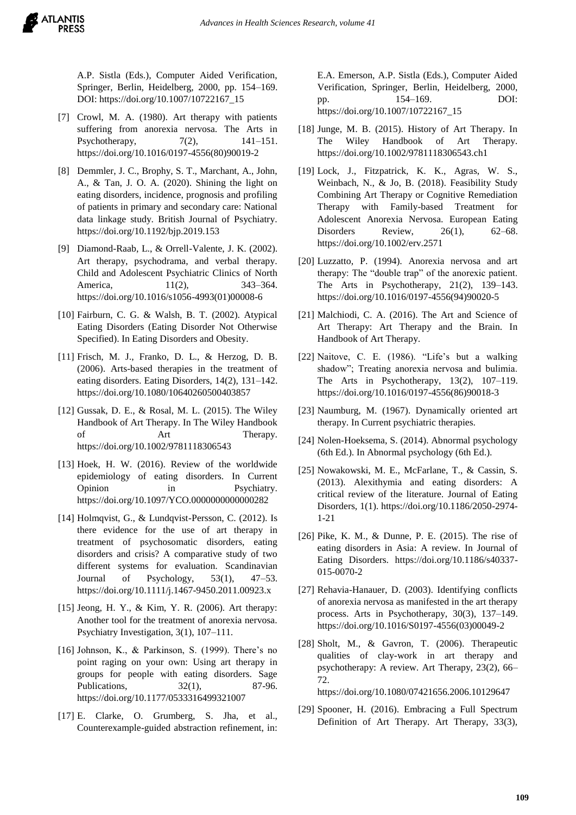A.P. Sistla (Eds.), Computer Aided Verification, Springer, Berlin, Heidelberg, 2000, pp. 154–169. DOI: https://doi.org/10.1007/10722167\_15

- [7] Crowl, M. A. (1980). Art therapy with patients suffering from anorexia nervosa. The Arts in Psychotherapy,  $7(2)$ ,  $141-151$ . https://doi.org/10.1016/0197-4556(80)90019-2
- [8] Demmler, J. C., Brophy, S. T., Marchant, A., John, A., & Tan, J. O. A. (2020). Shining the light on eating disorders, incidence, prognosis and profiling of patients in primary and secondary care: National data linkage study. British Journal of Psychiatry. https://doi.org/10.1192/bjp.2019.153
- [9] Diamond-Raab, L., & Orrell-Valente, J. K. (2002). Art therapy, psychodrama, and verbal therapy. Child and Adolescent Psychiatric Clinics of North America, 11(2), 343–364. https://doi.org/10.1016/s1056-4993(01)00008-6
- [10] Fairburn, C. G. & Walsh, B. T. (2002). Atypical Eating Disorders (Eating Disorder Not Otherwise Specified). In Eating Disorders and Obesity.
- [11] Frisch, M. J., Franko, D. L., & Herzog, D. B. (2006). Arts-based therapies in the treatment of eating disorders. Eating Disorders, 14(2), 131–142. https://doi.org/10.1080/10640260500403857
- [12] Gussak, D. E., & Rosal, M. L. (2015). The Wiley Handbook of Art Therapy. In The Wiley Handbook of Art Therapy. https://doi.org/10.1002/9781118306543
- [13] Hoek, H. W. (2016). Review of the worldwide epidemiology of eating disorders. In Current Opinion in Psychiatry. https://doi.org/10.1097/YCO.0000000000000282
- [14] Holmqvist, G., & Lundqvist-Persson, C. (2012). Is there evidence for the use of art therapy in treatment of psychosomatic disorders, eating disorders and crisis? A comparative study of two different systems for evaluation. Scandinavian Journal of Psychology, 53(1), 47–53. https://doi.org/10.1111/j.1467-9450.2011.00923.x
- [15] Jeong, H. Y., & Kim, Y. R. (2006). Art therapy: Another tool for the treatment of anorexia nervosa. Psychiatry Investigation, 3(1), 107–111.
- [16] Johnson, K., & Parkinson, S. (1999). There's no point raging on your own: Using art therapy in groups for people with eating disorders. Sage Publications, 32(1), 87-96. https://doi.org/10.1177/0533316499321007
- [17] E. Clarke, O. Grumberg, S. Jha, et al., Counterexample-guided abstraction refinement, in:

E.A. Emerson, A.P. Sistla (Eds.), Computer Aided Verification, Springer, Berlin, Heidelberg, 2000, pp. 154–169. DOI: https://doi.org/10.1007/10722167\_15

- [18] Junge, M. B. (2015). History of Art Therapy. In The Wiley Handbook of Art Therapy. <https://doi.org/10.1002/9781118306543.ch1>
- [19] Lock, J., Fitzpatrick, K. K., Agras, W. S., Weinbach, N., & Jo, B. (2018). Feasibility Study Combining Art Therapy or Cognitive Remediation Therapy with Family-based Treatment for Adolescent Anorexia Nervosa. European Eating Disorders Review, 26(1), 62–68. https://doi.org/10.1002/erv.2571
- [20] Luzzatto, P. (1994). Anorexia nervosa and art therapy: The "double trap" of the anorexic patient. The Arts in Psychotherapy, 21(2), 139–143. https://doi.org/10.1016/0197-4556(94)90020-5
- [21] Malchiodi, C. A. (2016). The Art and Science of Art Therapy: Art Therapy and the Brain. In Handbook of Art Therapy.
- [22] Naitove, C. E. (1986). "Life's but a walking shadow"; Treating anorexia nervosa and bulimia. The Arts in Psychotherapy, 13(2), 107–119. https://doi.org/10.1016/0197-4556(86)90018-3
- [23] Naumburg, M. (1967). Dynamically oriented art therapy. In Current psychiatric therapies.
- [24] Nolen-Hoeksema, S. (2014). Abnormal psychology (6th Ed.). In Abnormal psychology (6th Ed.).
- [25] Nowakowski, M. E., McFarlane, T., & Cassin, S. (2013). Alexithymia and eating disorders: A critical review of the literature. Journal of Eating Disorders, 1(1). https://doi.org/10.1186/2050-2974- 1-21
- [26] Pike, K. M., & Dunne, P. E. (2015). The rise of eating disorders in Asia: A review. In Journal of Eating Disorders. https://doi.org/10.1186/s40337- 015-0070-2
- [27] Rehavia-Hanauer, D. (2003). Identifying conflicts of anorexia nervosa as manifested in the art therapy process. Arts in Psychotherapy, 30(3), 137–149. https://doi.org/10.1016/S0197-4556(03)00049-2
- [28] Sholt, M., & Gavron, T. (2006). Therapeutic qualities of clay-work in art therapy and psychotherapy: A review. Art Therapy, 23(2), 66– 72.

https://doi.org/10.1080/07421656.2006.10129647

[29] Spooner, H. (2016). Embracing a Full Spectrum Definition of Art Therapy. Art Therapy, 33(3),